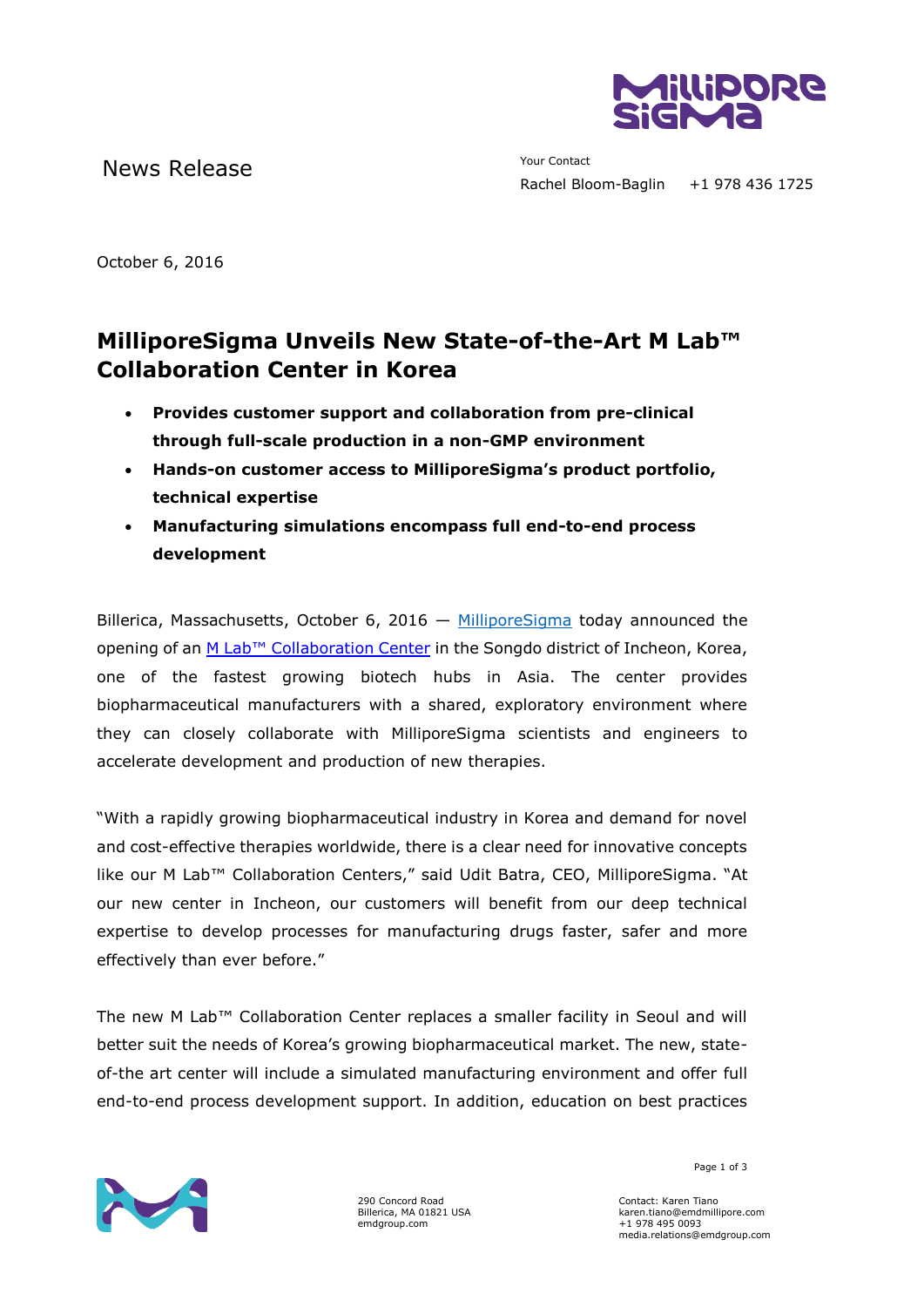

News Release The Manuscript of the Manuscript of The Your Contact

October 6, 2016

## **MilliporeSigma Unveils New State-of-the-Art M Lab™ Collaboration Center in Korea**

- **Provides customer support and collaboration from pre-clinical through full-scale production in a non-GMP environment**
- **Hands-on customer access to MilliporeSigma's product portfolio, technical expertise**
- **Manufacturing simulations encompass full end-to-end process development**

Billerica, Massachusetts, October 6, 2016  $-$  [MilliporeSigma](http://www.emdgroup.com/emd/products/life_science/life_science.html) today announced the opening of an M Lab[™ Collaboration Center](http://www.emdmillipore.com/mlab) in the Songdo district of Incheon, Korea, one of the fastest growing biotech hubs in Asia. The center provides biopharmaceutical manufacturers with a shared, exploratory environment where they can closely collaborate with MilliporeSigma scientists and engineers to accelerate development and production of new therapies.

"With a rapidly growing biopharmaceutical industry in Korea and demand for novel and cost-effective therapies worldwide, there is a clear need for innovative concepts like our M Lab™ Collaboration Centers," said Udit Batra, CEO, MilliporeSigma. "At our new center in Incheon, our customers will benefit from our deep technical expertise to develop processes for manufacturing drugs faster, safer and more effectively than ever before."

The new M Lab™ Collaboration Center replaces a smaller facility in Seoul and will better suit the needs of Korea's growing biopharmaceutical market. The new, stateof-the art center will include a simulated manufacturing environment and offer full end-to-end process development support. In addition, education on best practices



290 Concord Road Billerica, MA 01821 USA emdgroup.com

Page 1 of 3

Contact: Karen Tiano karen.tiano@emdmillipore.com +1 978 495 0093 media.relations@emdgroup.com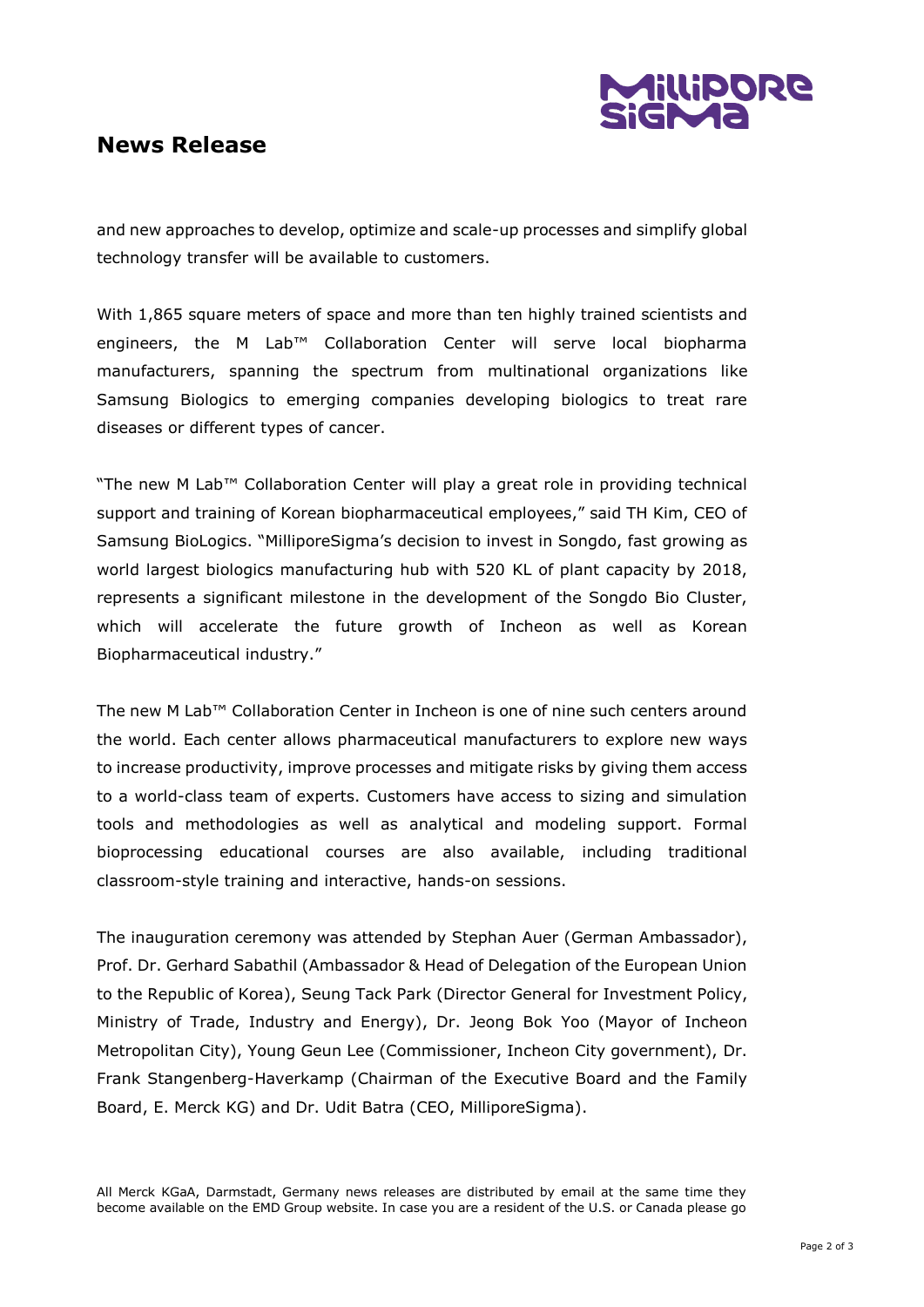

## **News Release**

and new approaches to develop, optimize and scale-up processes and simplify global technology transfer will be available to customers.

With 1,865 square meters of space and more than ten highly trained scientists and engineers, the M Lab™ Collaboration Center will serve local biopharma manufacturers, spanning the spectrum from multinational organizations like Samsung Biologics to emerging companies developing biologics to treat rare diseases or different types of cancer.

"The new M Lab™ Collaboration Center will play a great role in providing technical support and training of Korean biopharmaceutical employees," said TH Kim, CEO of Samsung BioLogics. "MilliporeSigma's decision to invest in Songdo, fast growing as world largest biologics manufacturing hub with 520 KL of plant capacity by 2018, represents a significant milestone in the development of the Songdo Bio Cluster, which will accelerate the future growth of Incheon as well as Korean Biopharmaceutical industry."

The new M Lab™ Collaboration Center in Incheon is one of nine such centers around the world. Each center allows pharmaceutical manufacturers to explore new ways to increase productivity, improve processes and mitigate risks by giving them access to a world-class team of experts. Customers have access to sizing and simulation tools and methodologies as well as analytical and modeling support. Formal bioprocessing educational courses are also available, including traditional classroom-style training and interactive, hands-on sessions.

The inauguration ceremony was attended by Stephan Auer (German Ambassador), Prof. Dr. Gerhard Sabathil (Ambassador & Head of Delegation of the European Union to the Republic of Korea), Seung Tack Park (Director General for Investment Policy, Ministry of Trade, Industry and Energy), Dr. Jeong Bok Yoo (Mayor of Incheon Metropolitan City), Young Geun Lee (Commissioner, Incheon City government), Dr. Frank Stangenberg-Haverkamp (Chairman of the Executive Board and the Family Board, E. Merck KG) and Dr. Udit Batra (CEO, MilliporeSigma).

All Merck KGaA, Darmstadt, Germany news releases are distributed by email at the same time they become available on the EMD Group website. In case you are a resident of the U.S. or Canada please go